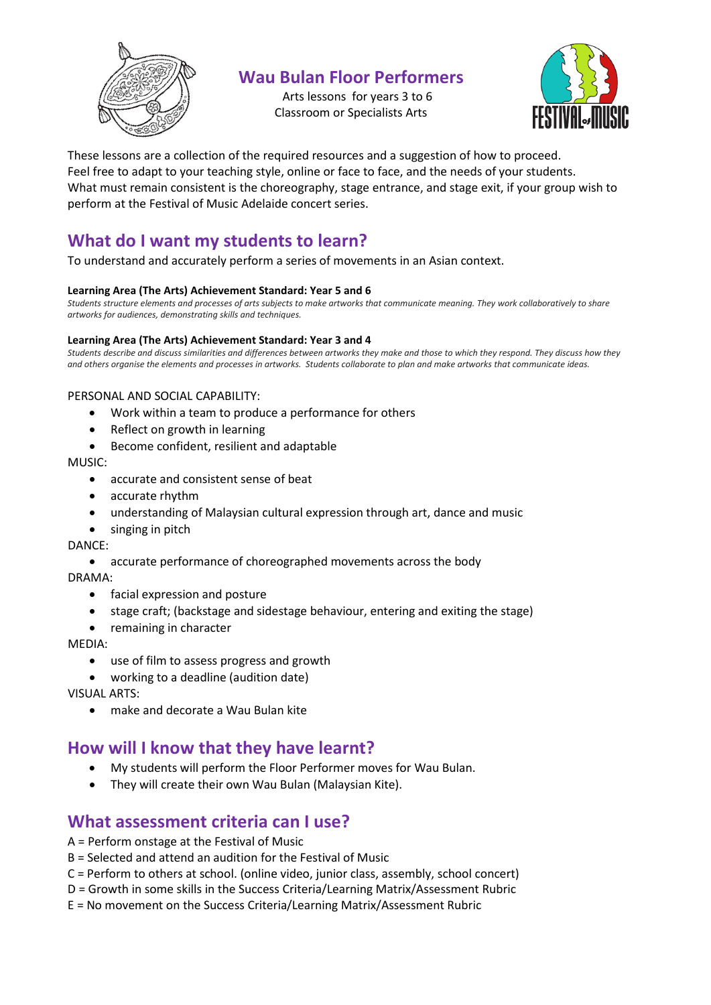

# **Wau Bulan Floor Performers**

Arts lessons for years 3 to 6 Classroom or Specialists Arts



These lessons are a collection of the required resources and a suggestion of how to proceed. Feel free to adapt to your teaching style, online or face to face, and the needs of your students. What must remain consistent is the choreography, stage entrance, and stage exit, if your group wish to perform at the Festival of Music Adelaide concert series.

# **What do I want my students to learn?**

To understand and accurately perform a series of movements in an Asian context.

### **Learning Area (The Arts) Achievement Standard: Year 5 and 6**

*Students structure elements and processes of arts subjects to make artworks that communicate meaning. They work collaboratively to share artworks for audiences, demonstrating skills and techniques.*

#### **Learning Area (The Arts) Achievement Standard: Year 3 and 4**

*Students describe and discuss similarities and differences between artworks they make and those to which they respond. They discuss how they and others organise the elements and processes in artworks. Students collaborate to plan and make artworks that communicate ideas.*

### PERSONAL AND SOCIAL CAPABILITY:

- Work within a team to produce a performance for others
- Reflect on growth in learning
- Become confident, resilient and adaptable

MUSIC:

- accurate and consistent sense of beat
- accurate rhythm
- understanding of Malaysian cultural expression through art, dance and music
- singing in pitch

DANCE:

• accurate performance of choreographed movements across the body

DRAMA:

- facial expression and posture
- stage craft; (backstage and sidestage behaviour, entering and exiting the stage)
- remaining in character

MEDIA:

- use of film to assess progress and growth
- working to a deadline (audition date)

VISUAL ARTS:

• make and decorate a Wau Bulan kite

# **How will I know that they have learnt?**

- My students will perform the Floor Performer moves for Wau Bulan.
- They will create their own Wau Bulan (Malaysian Kite).

## **What assessment criteria can I use?**

- A = Perform onstage at the Festival of Music
- B = Selected and attend an audition for the Festival of Music
- C = Perform to others at school. (online video, junior class, assembly, school concert)
- D = Growth in some skills in the Success Criteria/Learning Matrix/Assessment Rubric
- E = No movement on the Success Criteria/Learning Matrix/Assessment Rubric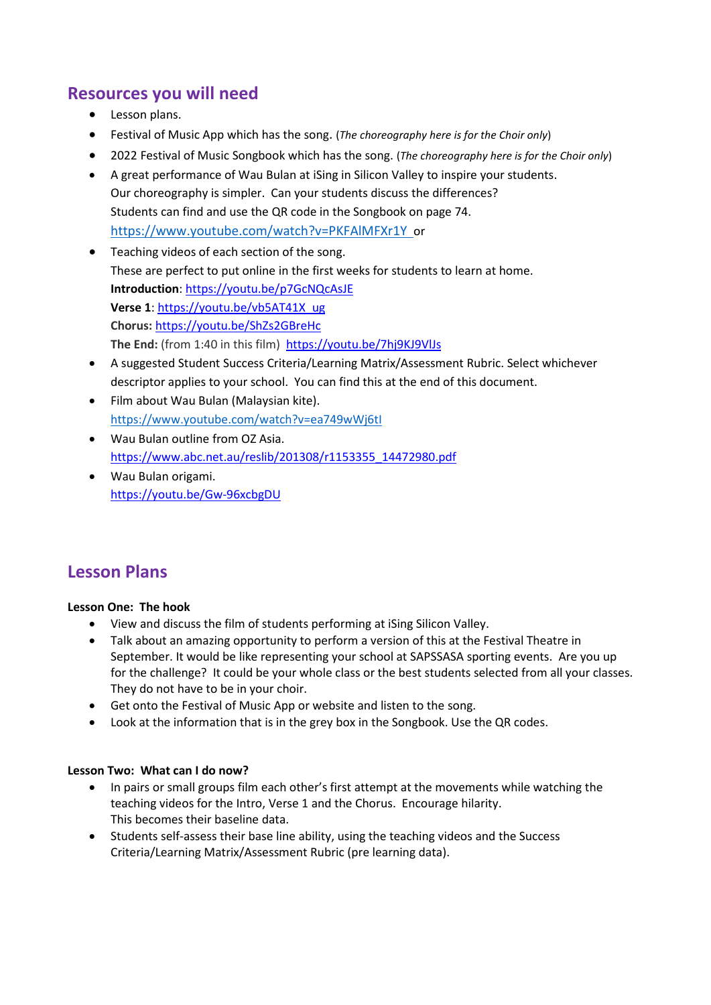# **Resources you will need**

- Lesson plans.
- Festival of Music App which has the song. (*The choreography here is for the Choir only*)
- 2022 Festival of Music Songbook which has the song. (*The choreography here is for the Choir only*)
- A great performance of Wau Bulan at iSing in Silicon Valley to inspire your students. Our choreography is simpler. Can your students discuss the differences? Students can find and use the QR code in the Songbook on page 74. <https://www.youtube.com/watch?v=PKFAlMFXr1Y>or
- Teaching videos of each section of the song. These are perfect to put online in the first weeks for students to learn at home. **Introduction**: <https://youtu.be/p7GcNQcAsJE> **Verse 1**: [https://youtu.be/vb5AT41X\\_ug](https://youtu.be/vb5AT41X_ug) **Chorus:** <https://youtu.be/ShZs2GBreHc> **The End:** (from 1:40 in this film)<https://youtu.be/7hj9KJ9VlJs>
- A suggested Student Success Criteria/Learning Matrix/Assessment Rubric. Select whichever descriptor applies to your school. You can find this at the end of this document.
- Film about Wau Bulan (Malaysian kite). <https://www.youtube.com/watch?v=ea749wWj6tI>
- Wau Bulan outline from OZ Asia. [https://www.abc.net.au/reslib/201308/r1153355\\_14472980.pdf](https://www.abc.net.au/reslib/201308/r1153355_14472980.pdf)
- Wau Bulan origami. <https://youtu.be/Gw-96xcbgDU>

# **Lesson Plans**

### **Lesson One: The hook**

- View and discuss the film of students performing at iSing Silicon Valley.
- Talk about an amazing opportunity to perform a version of this at the Festival Theatre in September. It would be like representing your school at SAPSSASA sporting events. Are you up for the challenge? It could be your whole class or the best students selected from all your classes. They do not have to be in your choir.
- Get onto the Festival of Music App or website and listen to the song.
- Look at the information that is in the grey box in the Songbook. Use the QR codes.

### **Lesson Two: What can I do now?**

- In pairs or small groups film each other's first attempt at the movements while watching the teaching videos for the Intro, Verse 1 and the Chorus. Encourage hilarity. This becomes their baseline data.
- Students self-assess their base line ability, using the teaching videos and the Success Criteria/Learning Matrix/Assessment Rubric (pre learning data).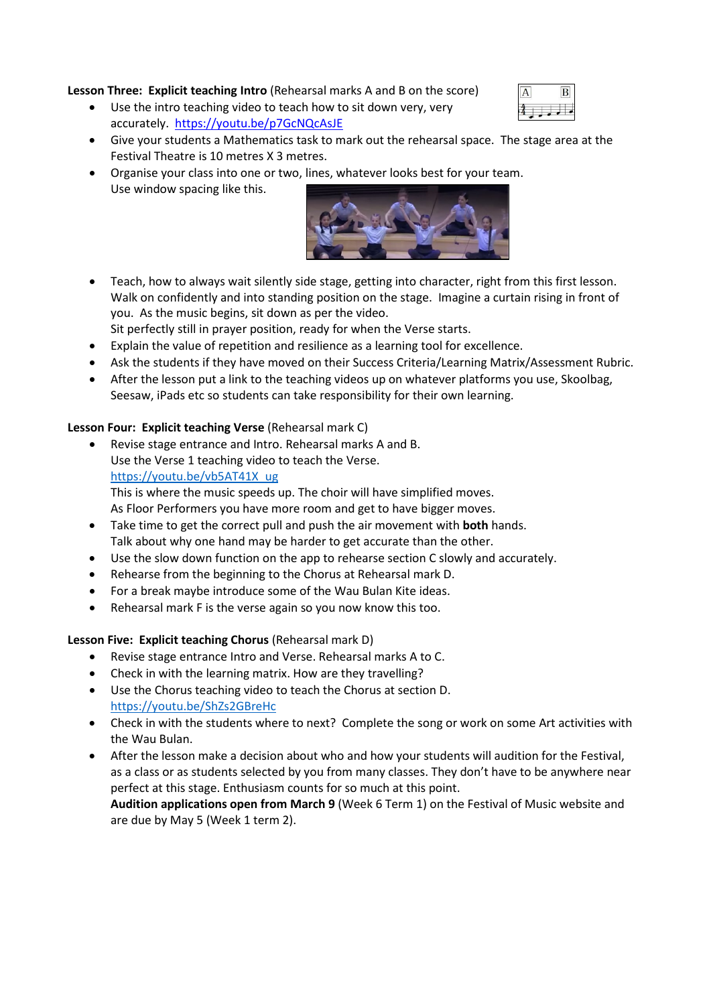### **Lesson Three: Explicit teaching Intro** (Rehearsal marks A and B on the score)

- Use the intro teaching video to teach how to sit down very, very accurately.<https://youtu.be/p7GcNQcAsJE>
- Give your students a Mathematics task to mark out the rehearsal space. The stage area at the Festival Theatre is 10 metres X 3 metres.
- Organise your class into one or two, lines, whatever looks best for your team. Use window spacing like this.



- Teach, how to always wait silently side stage, getting into character, right from this first lesson. Walk on confidently and into standing position on the stage. Imagine a curtain rising in front of you. As the music begins, sit down as per the video.
- Sit perfectly still in prayer position, ready for when the Verse starts.
- Explain the value of repetition and resilience as a learning tool for excellence.
- Ask the students if they have moved on their Success Criteria/Learning Matrix/Assessment Rubric.
- After the lesson put a link to the teaching videos up on whatever platforms you use, Skoolbag, Seesaw, iPads etc so students can take responsibility for their own learning.

### **Lesson Four: Explicit teaching Verse** (Rehearsal mark C)

• Revise stage entrance and Intro. Rehearsal marks A and B. Use the Verse 1 teaching video to teach the Verse. [https://youtu.be/vb5AT41X\\_ug](https://youtu.be/vb5AT41X_ug) This is where the music speeds up. The choir will have simplified moves.

As Floor Performers you have more room and get to have bigger moves.

- Take time to get the correct pull and push the air movement with **both** hands. Talk about why one hand may be harder to get accurate than the other.
- Use the slow down function on the app to rehearse section C slowly and accurately.
- Rehearse from the beginning to the Chorus at Rehearsal mark D.
- For a break maybe introduce some of the Wau Bulan Kite ideas.
- Rehearsal mark F is the verse again so you now know this too.

### **Lesson Five: Explicit teaching Chorus** (Rehearsal mark D)

- Revise stage entrance Intro and Verse. Rehearsal marks A to C.
- Check in with the learning matrix. How are they travelling?
- Use the Chorus teaching video to teach the Chorus at section D. <https://youtu.be/ShZs2GBreHc>
- Check in with the students where to next? Complete the song or work on some Art activities with the Wau Bulan.
- After the lesson make a decision about who and how your students will audition for the Festival, as a class or as students selected by you from many classes. They don't have to be anywhere near perfect at this stage. Enthusiasm counts for so much at this point. **Audition applications open from March 9** (Week 6 Term 1) on the Festival of Music website and

are due by May 5 (Week 1 term 2).

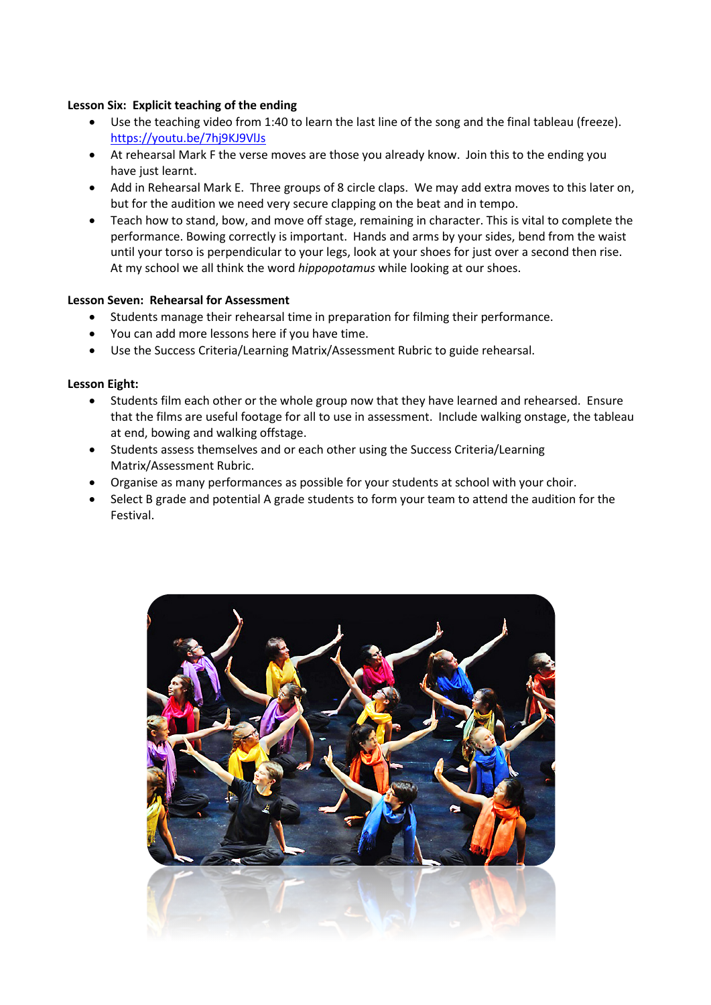#### **Lesson Six: Explicit teaching of the ending**

- Use the teaching video from 1:40 to learn the last line of the song and the final tableau (freeze). <https://youtu.be/7hj9KJ9VlJs>
- At rehearsal Mark F the verse moves are those you already know. Join this to the ending you have just learnt.
- Add in Rehearsal Mark E. Three groups of 8 circle claps. We may add extra moves to this later on, but for the audition we need very secure clapping on the beat and in tempo.
- Teach how to stand, bow, and move off stage, remaining in character. This is vital to complete the performance. Bowing correctly is important. Hands and arms by your sides, bend from the waist until your torso is perpendicular to your legs, look at your shoes for just over a second then rise. At my school we all think the word *hippopotamus* while looking at our shoes.

### **Lesson Seven: Rehearsal for Assessment**

- Students manage their rehearsal time in preparation for filming their performance.
- You can add more lessons here if you have time.
- Use the Success Criteria/Learning Matrix/Assessment Rubric to guide rehearsal.

#### **Lesson Eight:**

- Students film each other or the whole group now that they have learned and rehearsed. Ensure that the films are useful footage for all to use in assessment. Include walking onstage, the tableau at end, bowing and walking offstage.
- Students assess themselves and or each other using the Success Criteria/Learning Matrix/Assessment Rubric.
- Organise as many performances as possible for your students at school with your choir.
- Select B grade and potential A grade students to form your team to attend the audition for the Festival.